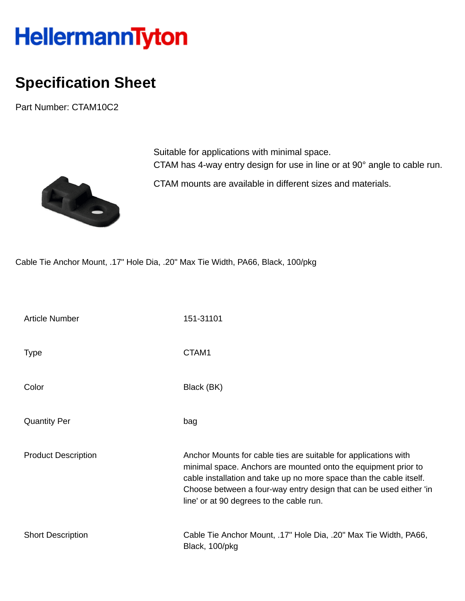## HellermannTyton

## **Specification Sheet**

Part Number: CTAM10C2



Suitable for applications with minimal space. CTAM has 4-way entry design for use in line or at 90° angle to cable run.

CTAM mounts are available in different sizes and materials.

Cable Tie Anchor Mount, .17" Hole Dia, .20" Max Tie Width, PA66, Black, 100/pkg

| <b>Article Number</b>      | 151-31101                                                                                                                                                                                                                                                                                                                  |
|----------------------------|----------------------------------------------------------------------------------------------------------------------------------------------------------------------------------------------------------------------------------------------------------------------------------------------------------------------------|
| <b>Type</b>                | CTAM1                                                                                                                                                                                                                                                                                                                      |
| Color                      | Black (BK)                                                                                                                                                                                                                                                                                                                 |
| <b>Quantity Per</b>        | bag                                                                                                                                                                                                                                                                                                                        |
| <b>Product Description</b> | Anchor Mounts for cable ties are suitable for applications with<br>minimal space. Anchors are mounted onto the equipment prior to<br>cable installation and take up no more space than the cable itself.<br>Choose between a four-way entry design that can be used either 'in<br>line' or at 90 degrees to the cable run. |
| <b>Short Description</b>   | Cable Tie Anchor Mount, .17" Hole Dia, .20" Max Tie Width, PA66,<br>Black, 100/pkg                                                                                                                                                                                                                                         |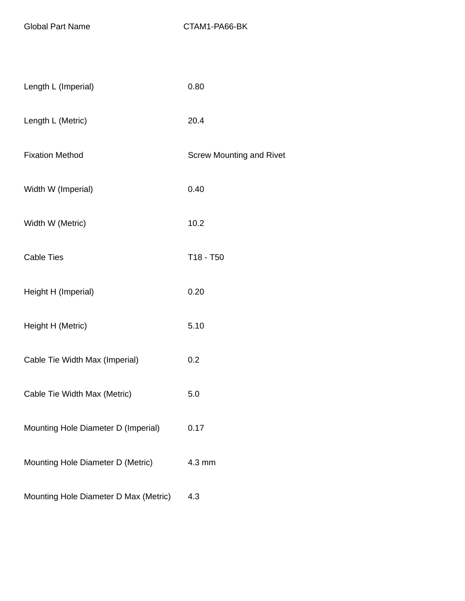Global Part Name CTAM1-PA66-BK

| Length L (Imperial)                   | 0.80                            |
|---------------------------------------|---------------------------------|
| Length L (Metric)                     | 20.4                            |
| <b>Fixation Method</b>                | <b>Screw Mounting and Rivet</b> |
| Width W (Imperial)                    | 0.40                            |
| Width W (Metric)                      | 10.2                            |
| <b>Cable Ties</b>                     | T18 - T50                       |
| Height H (Imperial)                   | 0.20                            |
| Height H (Metric)                     | 5.10                            |
| Cable Tie Width Max (Imperial)        | 0.2                             |
| Cable Tie Width Max (Metric)          | 5.0                             |
| Mounting Hole Diameter D (Imperial)   | 0.17                            |
| Mounting Hole Diameter D (Metric)     | 4.3 mm                          |
| Mounting Hole Diameter D Max (Metric) | 4.3                             |